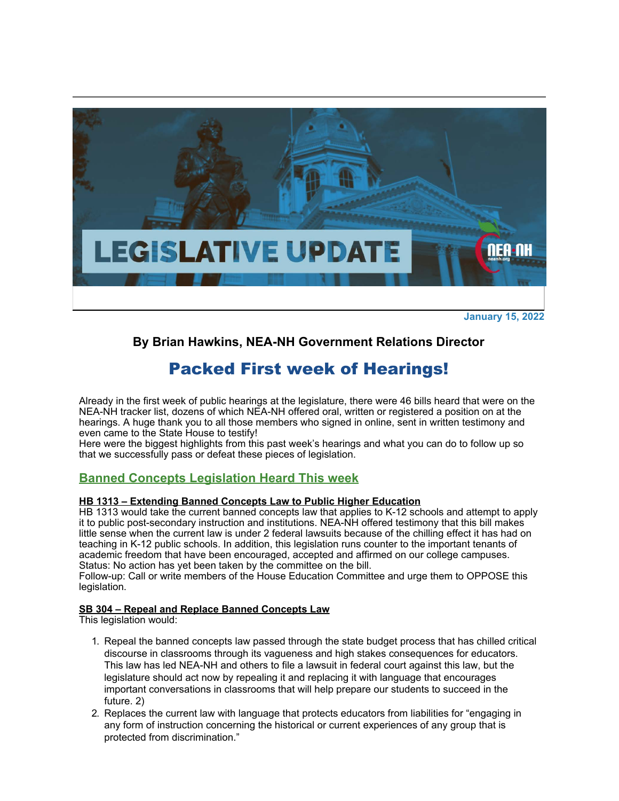

**January 15, 2022**

# **By Brian Hawkins, NEA-NH Government Relations Director**

# Packed First week of Hearings!

Already in the first week of public hearings at the legislature, there were 46 bills heard that were on the NEA-NH tracker list, dozens of which NEA-NH offered oral, written or registered a position on at the hearings. A huge thank you to all those members who signed in online, sent in written testimony and even came to the State House to testify!

Here were the biggest highlights from this past week's hearings and what you can do to follow up so that we successfully pass or defeat these pieces of legislation.

# **Banned Concepts Legislation Heard This week**

## **HB 1313 – Extending Banned Concepts Law to Public Higher Education**

HB 1313 would take the current banned concepts law that applies to K-12 schools and attempt to apply it to public post-secondary instruction and institutions. NEA-NH offered testimony that this bill makes little sense when the current law is under 2 federal lawsuits because of the chilling effect it has had on teaching in K-12 public schools. In addition, this legislation runs counter to the important tenants of academic freedom that have been encouraged, accepted and affirmed on our college campuses. Status: No action has yet been taken by the committee on the bill.

Follow-up: Call or write members of the House Education Committee and urge them to OPPOSE this legislation.

## **SB 304 – Repeal and Replace Banned Concepts Law**

This legislation would:

- 1. Repeal the banned concepts law passed through the state budget process that has chilled critical discourse in classrooms through its vagueness and high stakes consequences for educators. This law has led NEA-NH and others to file a lawsuit in federal court against this law, but the legislature should act now by repealing it and replacing it with language that encourages important conversations in classrooms that will help prepare our students to succeed in the future. 2)
- 2. Replaces the current law with language that protects educators from liabilities for "engaging in any form of instruction concerning the historical or current experiences of any group that is protected from discrimination."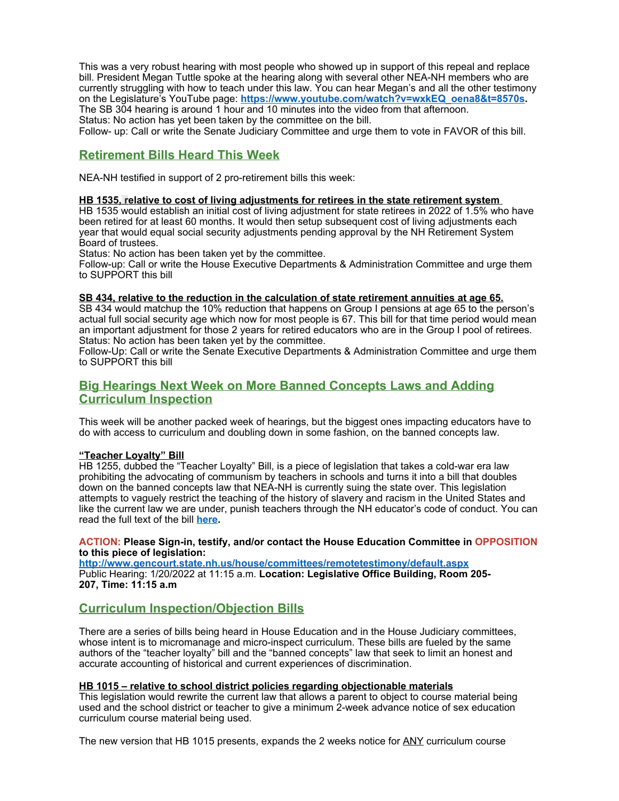This was a very robust hearing with most people who showed up in support of this repeal and replace bill. President Megan Tuttle spoke at the hearing along with several other NEA-NH members who are currently struggling with how to teach under this law. You can hear Megan's and all the other testimony on the Legislature's YouTube page: **[https://www.youtube.com/watch?v=wxkEQ\\_oena8&t=8570s](http://click.email.nea.org/?qs=8b1e7e9ee13016af3c7b9bf60198de471b017c8ed609425a638d72cdf6c8de08ececa760b6672991ca06d68234a87403c766cdbda5f64e52).** The SB 304 hearing is around 1 hour and 10 minutes into the video from that afternoon. Status: No action has yet been taken by the committee on the bill.

Follow- up: Call or write the Senate Judiciary Committee and urge them to vote in FAVOR of this bill.

# **Retirement Bills Heard This Week**

NEA-NH testified in support of 2 pro-retirement bills this week:

#### **HB 1535, relative to cost of living adjustments for retirees in the state retirement system**

HB 1535 would establish an initial cost of living adjustment for state retirees in 2022 of 1.5% who have been retired for at least 60 months. It would then setup subsequent cost of living adjustments each year that would equal social security adjustments pending approval by the NH Retirement System Board of trustees.

Status: No action has been taken yet by the committee.

Follow-up: Call or write the House Executive Departments & Administration Committee and urge them to SUPPORT this bill

#### **SB 434, relative to the reduction in the calculation of state retirement annuities at age 65.**

SB 434 would matchup the 10% reduction that happens on Group I pensions at age 65 to the person's actual full social security age which now for most people is 67. This bill for that time period would mean an important adjustment for those 2 years for retired educators who are in the Group I pool of retirees. Status: No action has been taken yet by the committee.

Follow-Up: Call or write the Senate Executive Departments & Administration Committee and urge them to SUPPORT this bill

## **Big Hearings Next Week on More Banned Concepts Laws and Adding Curriculum Inspection**

This week will be another packed week of hearings, but the biggest ones impacting educators have to do with access to curriculum and doubling down in some fashion, on the banned concepts law.

#### **"Teacher Loyalty" Bill**

HB 1255, dubbed the "Teacher Loyalty" Bill, is a piece of legislation that takes a cold-war era law prohibiting the advocating of communism by teachers in schools and turns it into a bill that doubles down on the banned concepts law that NEA-NH is currently suing the state over. This legislation attempts to vaguely restrict the teaching of the history of slavery and racism in the United States and like the current law we are under, punish teachers through the NH educator's code of conduct. You can read the full text of the bill **[here](http://click.email.nea.org/?qs=9bccea612bd6ad3d45b569bc5406d867d2b46e0ab3edf1dc4c7bf7d4bfac5f438d64b032a398d2b93d64ccb99bfb5618e3d42f00f587e5b5).**

#### **ACTION: Please Sign-in, testify, and/or contact the House Education Committee in OPPOSITION to this piece of legislation:**

**[http://www.gencourt.state.nh.us/house/committees/remotetestimony/default.aspx](http://click.email.nea.org/?qs=9bccea612bd6ad3dd2e1b429245c9ac490b212fbeecafefde6a1f7184266b482c2432cb7b51d8f81214c1fa5909b1cc7483dcc46d9bad6ce)** Public Hearing: 1/20/2022 at 11:15 a.m. **Location: Legislative Office Building, Room 205- 207, Time: 11:15 a.m**

## **Curriculum Inspection/Objection Bills**

There are a series of bills being heard in House Education and in the House Judiciary committees, whose intent is to micromanage and micro-inspect curriculum. These bills are fueled by the same authors of the "teacher loyalty" bill and the "banned concepts" law that seek to limit an honest and accurate accounting of historical and current experiences of discrimination.

#### **HB 1015 – relative to school district policies regarding objectionable materials**

This legislation would rewrite the current law that allows a parent to object to course material being used and the school district or teacher to give a minimum 2-week advance notice of sex education curriculum course material being used.

The new version that HB 1015 presents, expands the 2 weeks notice for ANY curriculum course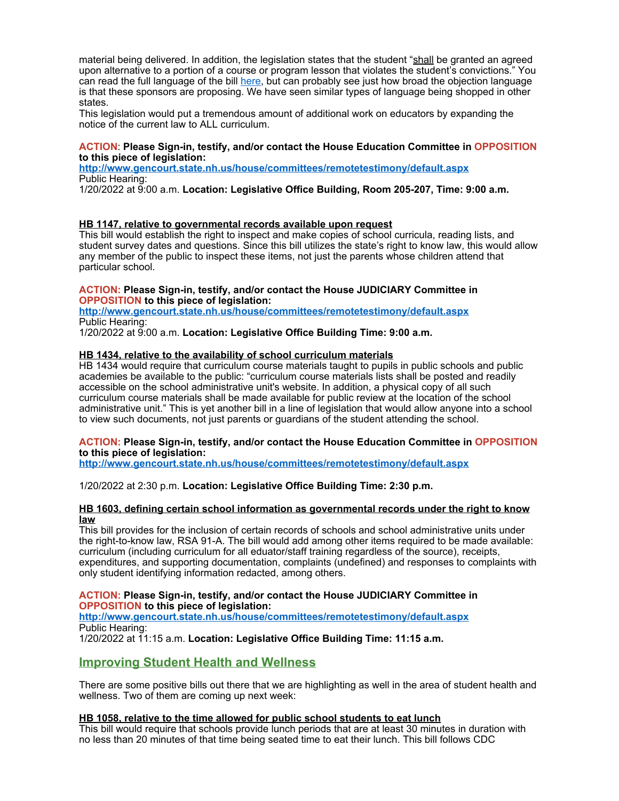material being delivered. In addition, the legislation states that the student "shall be granted an agreed upon alternative to a portion of a course or program lesson that violates the student's convictions." You can read the full language of the bill [here](http://click.email.nea.org/?qs=9bccea612bd6ad3d174a060b5043eb8d9ba4a5ddf38d770ab2f9155660d0f93b580226ee86504b91f61c3c4c0a299fbaf1792de5be53d538), but can probably see just how broad the objection language is that these sponsors are proposing. We have seen similar types of language being shopped in other states.

This legislation would put a tremendous amount of additional work on educators by expanding the notice of the current law to ALL curriculum.

#### **ACTION**: **Please Sign-in, testify, and/or contact the House Education Committee in OPPOSITION to this piece of legislation:**

**[http://www.gencourt.state.nh.us/house/committees/remotetestimony/default.aspx](http://click.email.nea.org/?qs=9bccea612bd6ad3dd2e1b429245c9ac490b212fbeecafefde6a1f7184266b482c2432cb7b51d8f81214c1fa5909b1cc7483dcc46d9bad6ce)** Public Hearing:

1/20/2022 at 9:00 a.m. **Location: Legislative Office Building, Room 205-207, Time: 9:00 a.m.**

#### **HB 1147, relative to governmental records available upon request**

This bill would establish the right to inspect and make copies of school curricula, reading lists, and student survey dates and questions. Since this bill utilizes the state's right to know law, this would allow any member of the public to inspect these items, not just the parents whose children attend that particular school.

#### **ACTION: Please Sign-in, testify, and/or contact the House JUDICIARY Committee in OPPOSITION to this piece of legislation:**

**[http://www.gencourt.state.nh.us/house/committees/remotetestimony/default.aspx](http://click.email.nea.org/?qs=9bccea612bd6ad3dd2e1b429245c9ac490b212fbeecafefde6a1f7184266b482c2432cb7b51d8f81214c1fa5909b1cc7483dcc46d9bad6ce)** Public Hearing:

1/20/2022 at 9:00 a.m. **Location: Legislative Office Building Time: 9:00 a.m.**

#### **HB 1434, relative to the availability of school curriculum materials**

HB 1434 would require that curriculum course materials taught to pupils in public schools and public academies be available to the public: "curriculum course materials lists shall be posted and readily accessible on the school administrative unit's website. In addition, a physical copy of all such curriculum course materials shall be made available for public review at the location of the school administrative unit." This is yet another bill in a line of legislation that would allow anyone into a school to view such documents, not just parents or guardians of the student attending the school.

#### **ACTION: Please Sign-in, testify, and/or contact the House Education Committee in OPPOSITION to this piece of legislation:**

**[http://www.gencourt.state.nh.us/house/committees/remotetestimony/default.aspx](http://click.email.nea.org/?qs=9bccea612bd6ad3dd2e1b429245c9ac490b212fbeecafefde6a1f7184266b482c2432cb7b51d8f81214c1fa5909b1cc7483dcc46d9bad6ce)**

#### 1/20/2022 at 2:30 p.m. **Location: Legislative Office Building Time: 2:30 p.m.**

#### **HB 1603, defining certain school information as governmental records under the right to know law**

This bill provides for the inclusion of certain records of schools and school administrative units under the right-to-know law, RSA 91-A. The bill would add among other items required to be made available: curriculum (including curriculum for all eduator/staff training regardless of the source), receipts, expenditures, and supporting documentation, complaints (undefined) and responses to complaints with only student identifying information redacted, among others.

#### **ACTION: Please Sign-in, testify, and/or contact the House JUDICIARY Committee in OPPOSITION to this piece of legislation:**

**[http://www.gencourt.state.nh.us/house/committees/remotetestimony/default.aspx](http://click.email.nea.org/?qs=9bccea612bd6ad3dd2e1b429245c9ac490b212fbeecafefde6a1f7184266b482c2432cb7b51d8f81214c1fa5909b1cc7483dcc46d9bad6ce)** Public Hearing:

1/20/2022 at 11:15 a.m. **Location: Legislative Office Building Time: 11:15 a.m.**

# **Improving Student Health and Wellness**

There are some positive bills out there that we are highlighting as well in the area of student health and wellness. Two of them are coming up next week:

#### **HB 1058, relative to the time allowed for public school students to eat lunch**

This bill would require that schools provide lunch periods that are at least 30 minutes in duration with no less than 20 minutes of that time being seated time to eat their lunch. This bill follows CDC